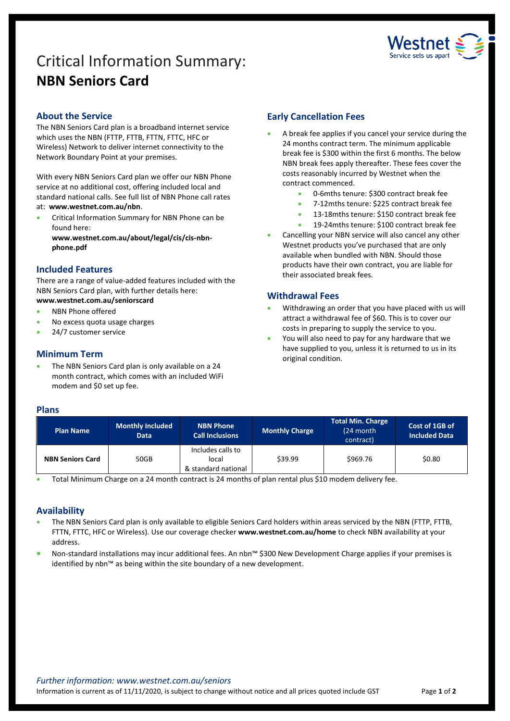# Critical Information Summary: **NBN Seniors Card**



# **About the Service**

The NBN Seniors Card plan is a broadband internet service which uses the NBN (FTTP, FTTB, FTTN, FTTC, HFC or Wireless) Network to deliver internet connectivity to the Network Boundary Point at your premises.

With every NBN Seniors Card plan we offer our NBN Phone service at no additional cost, offering included local and standard national calls. See full list of NBN Phone call rates at: **www.westnet.com.au/nbn**.

• Critical Information Summary for NBN Phone can be found here:

**www.westnet.com.au/about/legal/cis/cis-nbnphone.pdf**

# **Included Features**

There are a range of value-added features included with the NBN Seniors Card plan, with further details here:

- **www.westnet.com.au/seniorscard**
- NBN Phone offered
- No excess quota usage charges
- 24/7 customer service

# **Minimum Term**

The NBN Seniors Card plan is only available on a 24 month contract, which comes with an included WiFi modem and \$0 set up fee.

# **Early Cancellation Fees**

- A break fee applies if you cancel your service during the 24 months contract term. The minimum applicable break fee is \$300 within the first 6 months. The below NBN break fees apply thereafter. These fees cover the costs reasonably incurred by Westnet when the contract commenced.
	- 0-6mths tenure: \$300 contract break fee
	- 7-12mths tenure: \$225 contract break fee
	- 13-18mths tenure: \$150 contract break fee
	- 19-24mths tenure: \$100 contract break fee
- Cancelling your NBN service will also cancel any other Westnet products you've purchased that are only available when bundled with NBN. Should those products have their own contract, you are liable for their associated break fees.

# **Withdrawal Fees**

- Withdrawing an order that you have placed with us will attract a withdrawal fee of \$60. This is to cover our costs in preparing to supply the service to you.
- You will also need to pay for any hardware that we have supplied to you, unless it is returned to us in its original condition.

# **Plans**

| <b>Plan Name</b>        | <b>Monthly Included</b><br><b>Data</b> | <b>NBN Phone</b><br><b>Call Inclusions</b>        | <b>Monthly Charge</b> | Total Min. Charge<br>(24 month<br>contract) | Cost of 1GB of<br><b>Included Data</b> |
|-------------------------|----------------------------------------|---------------------------------------------------|-----------------------|---------------------------------------------|----------------------------------------|
| <b>NBN Seniors Card</b> | 50GB                                   | Includes calls to<br>local<br>& standard national | \$39.99               | \$969.76                                    | \$0.80                                 |

• Total Minimum Charge on a 24 month contract is 24 months of plan rental plus \$10 modem delivery fee.

# **Availability**

- The NBN Seniors Card plan is only available to eligible Seniors Card holders within areas serviced by the NBN (FTTP, FTTB, FTTN, FTTC, HFC or Wireless). Use ou[r coverage checker](https://www.westnet.com.au/internet-products/broadband/nbn/coverage/) **www.westnet.com.au/home** to check NBN availability at your address.
- Non-standard installations may incur additional fees. An nbn™ \$300 New Development Charge applies if your premises is identified by nbn™ as being within the site boundary of a new development.